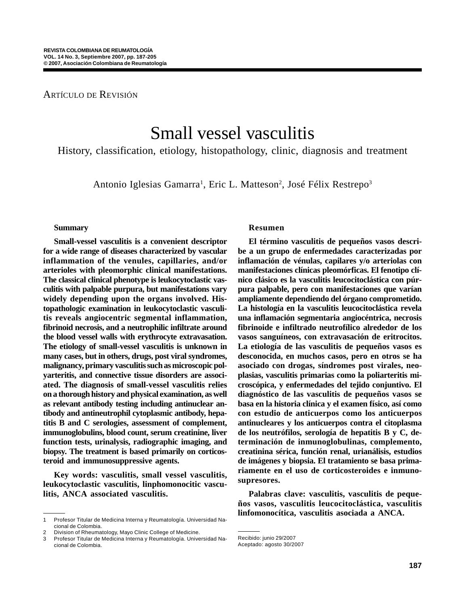# ARTÍCULO DE REVISIÓN

# Small vessel vasculitis

History, classification, etiology, histopathology, clinic, diagnosis and treatment

Antonio Iglesias Gamarra<sup>1</sup>, Eric L. Matteson<sup>2</sup>, José Félix Restrepo<sup>3</sup>

#### **Summary**

**Small-vessel vasculitis is a convenient descriptor for a wide range of diseases characterized by vascular inflammation of the venules, capillaries, and/or arterioles with pleomorphic clinical manifestations. The classical clinical phenotype is leukocytoclastic vasculitis with palpable purpura, but manifestations vary widely depending upon the organs involved. Histopathologic examination in leukocytoclastic vasculitis reveals angiocentric segmental inflammation, fibrinoid necrosis, and a neutrophilic infiltrate around the blood vessel walls with erythrocyte extravasation. The etiology of small-vessel vasculitis is unknown in many cases, but in others, drugs, post viral syndromes, malignancy, primary vasculitis such as microscopic polyarteritis, and connective tissue disorders are associated. The diagnosis of small-vessel vasculitis relies on a thorough history and physical examination, as well as relevant antibody testing including antinuclear antibody and antineutrophil cytoplasmic antibody, hepatitis B and C serologies, assessment of complement, immunoglobulins, blood count, serum creatinine, liver function tests, urinalysis, radiographic imaging, and biopsy. The treatment is based primarily on corticosteroid and immunosuppressive agents.**

**Key words: vasculitis, small vessel vasculitis, leukocytoclastic vasculitis, linphomonocitic vasculitis, ANCA associated vasculitis.**

#### **Resumen**

**El término vasculitis de pequeños vasos describe a un grupo de enfermedades caracterizadas por inflamación de vénulas, capilares y/o arteriolas con manifestaciones clínicas pleomórficas. El fenotipo clínico clásico es la vasculitis leucocitoclástica con púrpura palpable, pero con manifestaciones que varían ampliamente dependiendo del órgano comprometido. La histología en la vasculitis leucocitoclástica revela una inflamación segmentaria angiocéntrica, necrosis fibrinoide e infiltrado neutrofílico alrededor de los vasos sanguíneos, con extravasación de eritrocitos. La etiología de las vasculitis de pequeños vasos es desconocida, en muchos casos, pero en otros se ha asociado con drogas, síndromes post virales, neoplasias, vasculitis primarias como la poliarteritis microscópica, y enfermedades del tejido conjuntivo. El diagnóstico de las vasculitis de pequeños vasos se basa en la historia clínica y el examen físico, así como con estudio de anticuerpos como los anticuerpos antinucleares y los anticuerpos contra el citoplasma de los neutrófilos, serología de hepatitis B y C, determinación de inmunoglobulinas, complemento, creatinina sérica, función renal, urianálisis, estudios de imágenes y biopsia. El tratamiento se basa primariamente en el uso de corticosteroides e inmunosupresores.**

**Palabras clave: vasculitis, vasculitis de pequeños vasos, vasculitis leucocitoclástica, vasculitis linfomonocítica, vasculitis asociada a ANCA.**

<sup>1</sup> Profesor Titular de Medicina Interna y Reumatología. Universidad Nacional de Colombia.

<sup>2</sup> Division of Rheumatology, Mayo Clinic College of Medicine.

<sup>3</sup> Profesor Titular de Medicina Interna y Reumatología. Universidad Nacional de Colombia.

Recibido: junio 29/2007

Aceptado: agosto 30/2007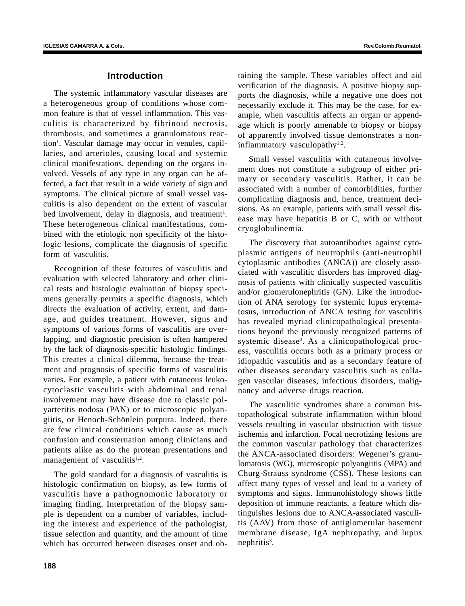# **Introduction**

The systemic inflammatory vascular diseases are a heterogeneous group of conditions whose common feature is that of vessel inflammation. This vasculitis is characterized by fibrinoid necrosis, thrombosis, and sometimes a granulomatous reaction<sup>1</sup>. Vascular damage may occur in venules, capillaries, and arterioles, causing local and systemic clinical manifestations, depending on the organs involved. Vessels of any type in any organ can be affected, a fact that result in a wide variety of sign and symptoms. The clinical picture of small vessel vasculitis is also dependent on the extent of vascular bed involvement, delay in diagnosis, and treatment<sup>1</sup>. These heterogeneous clinical manifestations, combined with the etiologic non specificity of the histologic lesions, complicate the diagnosis of specific form of vasculitis.

Recognition of these features of vasculitis and evaluation with selected laboratory and other clinical tests and histologic evaluation of biopsy specimens generally permits a specific diagnosis, which directs the evaluation of activity, extent, and damage, and guides treatment. However, signs and symptoms of various forms of vasculitis are overlapping, and diagnostic precision is often hampered by the lack of diagnosis-specific histologic findings. This creates a clinical dilemma, because the treatment and prognosis of specific forms of vasculitis varies. For example, a patient with cutaneous leukocytoclastic vasculitis with abdominal and renal involvement may have disease due to classic polyarteritis nodosa (PAN) or to microscopic polyangiitis, or Henoch-Schönlein purpura. Indeed, there are few clinical conditions which cause as much confusion and consternation among clinicians and patients alike as do the protean presentations and management of vasculitis<sup>1,2</sup>.

The gold standard for a diagnosis of vasculitis is histologic confirmation on biopsy, as few forms of vasculitis have a pathognomonic laboratory or imaging finding. Interpretation of the biopsy sample is dependent on a number of variables, including the interest and experience of the pathologist, tissue selection and quantity, and the amount of time which has occurred between diseases onset and obtaining the sample. These variables affect and aid verification of the diagnosis. A positive biopsy supports the diagnosis, while a negative one does not necessarily exclude it. This may be the case, for example, when vasculitis affects an organ or appendage which is poorly amenable to biopsy or biopsy of apparently involved tissue demonstrates a noninflammatory vasculopathy $1,2$ .

Small vessel vasculitis with cutaneous involvement does not constitute a subgroup of either primary or secondary vasculitis. Rather, it can be associated with a number of comorbidities, further complicating diagnosis and, hence, treatment decisions. As an example, patients with small vessel disease may have hepatitis B or C, with or without cryoglobulinemia.

The discovery that autoantibodies against cytoplasmic antigens of neutrophils (anti-neutrophil cytoplasmic antibodies (ANCA)) are closely associated with vasculitic disorders has improved diagnosis of patients with clinically suspected vasculitis and/or glomerulonephritis (GN). Like the introduction of ANA serology for systemic lupus erytematosus, introduction of ANCA testing for vasculitis has revealed myriad clinicopathological presentations beyond the previously recognized patterns of systemic disease<sup>3</sup>. As a clinicopathological process, vasculitis occurs both as a primary process or idiopathic vasculitis and as a secondary feature of other diseases secondary vasculitis such as collagen vascular diseases, infectious disorders, malignancy and adverse drugs reaction.

The vasculitic syndromes share a common histopathological substrate inflammation within blood vessels resulting in vascular obstruction with tissue ischemia and infarction. Focal necrotizing lesions are the common vascular pathology that characterizes the ANCA-associated disorders: Wegener's granulomatosis (WG), microscopic polyangiitis (MPA) and Churg-Strauss syndrome (CSS). These lesions can affect many types of vessel and lead to a variety of symptoms and signs. Immunohistology shows little deposition of immune reactants, a feature which distinguishes lesions due to ANCA-associated vasculitis (AAV) from those of antiglomerular basement membrane disease, IgA nephropathy, and lupus nephritis<sup>3</sup>.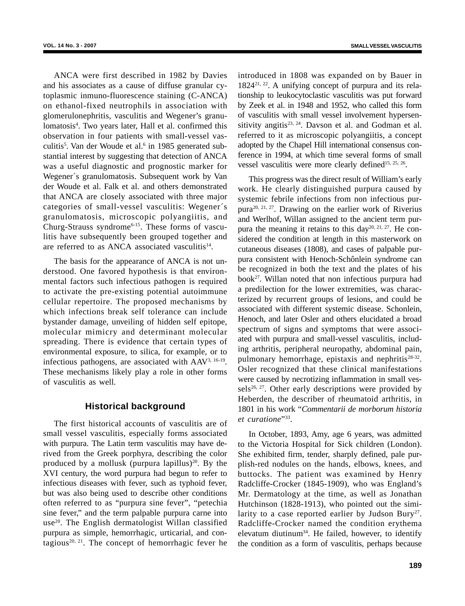ANCA were first described in 1982 by Davies and his associates as a cause of diffuse granular cytoplasmic inmuno-fluorescence staining (C-ANCA) on ethanol-fixed neutrophils in association with glomerulonephritis, vasculitis and Wegener's granulomatosis<sup>4</sup>. Two years later, Hall et al. confirmed this observation in four patients with small-vessel vasculitis<sup>5</sup>. Van der Woude et al.<sup>6</sup> in 1985 generated substantial interest by suggesting that detection of ANCA was a useful diagnostic and prognostic marker for Wegener´s granulomatosis. Subsequent work by Van der Woude et al. Falk et al. and others demonstrated that ANCA are closely associated with three major categories of small-vessel vasculitis: Wegener´s granulomatosis, microscopic polyangiitis, and Churg-Strauss syndrome6-15. These forms of vasculitis have subsequently been grouped together and are referred to as ANCA associated vasculitis $14$ .

The basis for the appearance of ANCA is not understood. One favored hypothesis is that environmental factors such infectious pathogen is required to activate the pre-existing potential autoimmune cellular repertoire. The proposed mechanisms by which infections break self tolerance can include bystander damage, unveiling of hidden self epitope, molecular mimicry and determinant molecular spreading. There is evidence that certain types of environmental exposure, to silica, for example, or to infectious pathogens, are associated with AAV3, 16-19. These mechanisms likely play a role in other forms of vasculitis as well.

# **Historical background**

The first historical accounts of vasculitis are of small vessel vasculitis, especially forms associated with purpura. The Latin term vasculitis may have derived from the Greek porphyra, describing the color produced by a mollusk (purpura lapillus)<sup>20</sup>. By the XVI century, the word purpura had begun to refer to infectious diseases with fever, such as typhoid fever, but was also being used to describe other conditions often referred to as "purpura sine fever", "petechia sine fever," and the term palpable purpura carne into use<sup>20</sup>. The English dermatologist Willan classified purpura as simple, hemorrhagic, urticarial, and contagious<sup>20, 21</sup>. The concept of hemorrhagic fever he introduced in 1808 was expanded on by Bauer in 182421, 22. A unifying concept of purpura and its relationship to leukocytoclastic vasculitis was put forward by Zeek et al. in 1948 and 1952, who called this form of vasculitis with small vessel involvement hypersensitivity angitis<sup>23, 24</sup>. Davson et al. and Godman et al. referred to it as microscopic polyangiitis, a concept adopted by the Chapel Hill international consensus conference in 1994, at which time several forms of small vessel vasculitis were more clearly defined<sup>15, 25, 26</sup>.

This progress was the direct result of William's early work. He clearly distinguished purpura caused by systemic febrile infections from non infectious purpura20, 21, 27. Drawing on the earlier work of Riverius and Werlhof, Willan assigned to the ancient term purpura the meaning it retains to this  $day^{20, 21, 27}$ . He considered the condition at length in this masterwork on cutaneous diseases (1808), and cases of palpable purpura consistent with Henoch-Schônlein syndrome can be recognized in both the text and the plates of his  $book<sup>27</sup>$ . Willan noted that non infectious purpura had a predilection for the lower extremities, was characterized by recurrent groups of lesions, and could be associated with different systemic disease. Schonlein, Henoch, and later Osler and others elucidated a broad spectrum of signs and symptoms that were associated with purpura and small-vessel vasculitis, including arthritis, peripheral neuropathy, abdominal pain, pulmonary hemorrhage, epistaxis and nephritis $28-32$ . Osler recognized that these clinical manifestations were caused by necrotizing inflammation in small vessels<sup>26, 27</sup>. Other early descriptions were provided by Heberden, the describer of rheumatoid arthritis, in 1801 in his work "*Commentarii de morborum historia et curatione*"33.

In October, 1893, Amy, age 6 years, was admitted to the Victoria Hospital for Sick children (London). She exhibited firm, tender, sharply defined, pale purplish-red nodules on the hands, elbows, knees, and buttocks. The patient was examined by Henry Radcliffe-Crocker (1845-1909), who was England's Mr. Dermatology at the time, as well as Jonathan Hutchinson (1828-1913), who pointed out the similarity to a case reported earlier by Judson Bury<sup>27</sup>. Radcliffe-Crocker named the condition erythema elevatum diutinum34. He failed, however, to identify the condition as a form of vasculitis, perhaps because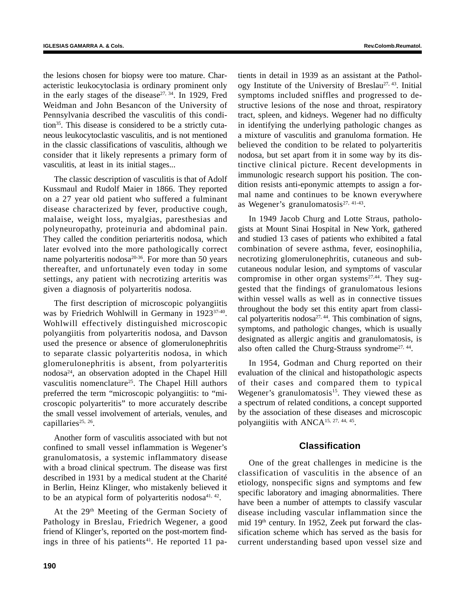the lesions chosen for biopsy were too mature. Characteristic leukocytoclasia is ordinary prominent only in the early stages of the disease<sup> $27, 34$ </sup>. In 1929, Fred Weidman and John Besancon of the University of Pennsylvania described the vasculitis of this condition<sup>35</sup>. This disease is considered to be a strictly cutaneous leukocytoclastic vasculitis, and is not mentioned in the classic classifications of vasculitis, although we consider that it likely represents a primary form of vasculitis, at least in its initial stages...

The classic description of vasculitis is that of Adolf Kussmaul and Rudolf Maier in 1866. They reported on a 27 year old patient who suffered a fulminant disease characterized by fever, productive cough, malaise, weight loss, myalgias, paresthesias and polyneuropathy, proteinuria and abdominal pain. They called the condition periarteritis nodosa, which later evolved into the more pathologically correct name polyarteritis nodos $a^{20-36}$ . For more than 50 years thereafter, and unfortunately even today in some settings, any patient with necrotizing arteritis was given a diagnosis of polyarteritis nodosa.

The first description of microscopic polyangiitis was by Friedrich Wohlwill in Germany in 1923<sup>37-40</sup>. Wohlwill effectively distinguished microscopic polyangiitis from polyarteritis nodosa, and Davson used the presence or absence of glomerulonephritis to separate classic polyarteritis nodosa, in which glomerulonephritis is absent, from polyarteritis nodosa24, an observation adopted in the Chapel Hill vasculitis nomenclature<sup>25</sup>. The Chapel Hill authors preferred the term "microscopic polyangiitis: to "microscopic polyarteritis" to more accurately describe the small vessel involvement of arterials, venules, and capillaries<sup>25, 26</sup>.

Another form of vasculitis associated with but not confined to small vessel inflammation is Wegener's granulomatosis, a systemic inflammatory disease with a broad clinical spectrum. The disease was first described in 1931 by a medical student at the Charité in Berlin, Heinz Klinger, who mistakenly believed it to be an atypical form of polyarteritis nodosa $41, 42$ .

At the 29<sup>th</sup> Meeting of the German Society of Pathology in Breslau, Friedrich Wegener, a good friend of Klinger's, reported on the post-mortem findings in three of his patients<sup>41</sup>. He reported 11 patients in detail in 1939 as an assistant at the Pathology Institute of the University of Breslau<sup>27, 43</sup>. Initial symptoms included sniffles and progressed to destructive lesions of the nose and throat, respiratory tract, spleen, and kidneys. Wegener had no difficulty in identifying the underlying pathologic changes as a mixture of vasculitis and granuloma formation. He believed the condition to be related to polyarteritis nodosa, but set apart from it in some way by its distinctive clinical picture. Recent developments in immunologic research support his position. The condition resists anti-eponymic attempts to assign a formal name and continues to be known everywhere as Wegener's granulomatosis $27, 41-43$ .

In 1949 Jacob Churg and Lotte Straus, pathologists at Mount Sinai Hospital in New York, gathered and studied 13 cases of patients who exhibited a fatal combination of severe asthma, fever, eosinophilia, necrotizing glomerulonephritis, cutaneous and subcutaneous nodular lesion, and symptoms of vascular compromise in other organ systems $27,44$ . They suggested that the findings of granulomatous lesions within vessel walls as well as in connective tissues throughout the body set this entity apart from classical polyarteritis nodosa<sup>27, 44</sup>. This combination of signs, symptoms, and pathologic changes, which is usually designated as allergic angitis and granulomatosis, is also often called the Churg-Strauss syndrome<sup>27, 44</sup>.

In 1954, Godman and Churg reported on their evaluation of the clinical and histopathologic aspects of their cases and compared them to typical Wegener's granulomatosis<sup>15</sup>. They viewed these as a spectrum of related conditions, a concept supported by the association of these diseases and microscopic polyangiitis with ANCA<sup>15, 27, 44, 45</sup>.

# **Classification**

One of the great challenges in medicine is the classification of vasculitis in the absence of an etiology, nonspecific signs and symptoms and few specific laboratory and imaging abnormalities. There have been a number of attempts to classify vascular disease including vascular inflammation since the mid 19th century. In 1952, Zeek put forward the classification scheme which has served as the basis for current understanding based upon vessel size and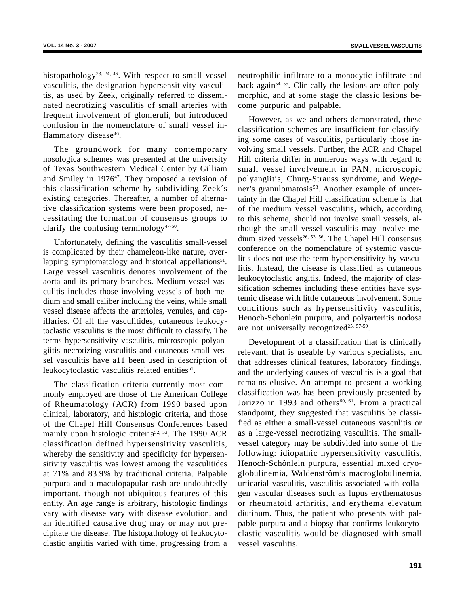histopathology<sup>23, 24, 46</sup>. With respect to small vessel vasculitis, the designation hypersensitivity vasculitis, as used by Zeek, originally referred to disseminated necrotizing vasculitis of small arteries with frequent involvement of glomeruli, but introduced confusion in the nomenclature of small vessel inflammatory disease<sup>46</sup>.

The groundwork for many contemporary nosologica schemes was presented at the university of Texas Southwestern Medical Center by Gilliam and Smiley in 1976<sup>47</sup>. They proposed a revision of this classification scheme by subdividing Zeek´s existing categories. Thereafter, a number of alternative classification systems were been proposed, necessitating the formation of consensus groups to clarify the confusing terminology<sup>47-50</sup>.

Unfortunately, defining the vasculitis small-vessel is complicated by their chameleon-like nature, overlapping symptomatology and historical appellations $51$ . Large vessel vasculitis denotes involvement of the aorta and its primary branches. Medium vessel vasculitis includes those involving vessels of both medium and small caliber including the veins, while small vessel disease affects the arterioles, venules, and capillaries. Of all the vasculitides, cutaneous leukocytoclastic vasculitis is the most difficult to classify. The terms hypersensitivity vasculitis, microscopic polyangiitis necrotizing vasculitis and cutaneous small vessel vasculitis have a11 been used in description of leukocytoclastic vasculitis related entities<sup>51</sup>.

The classification criteria currently most commonly employed are those of the American College of Rheumatology (ACR) from 1990 based upon clinical, laboratory, and histologic criteria, and those of the Chapel Hill Consensus Conferences based mainly upon histologic criteria<sup>52, 53</sup>. The 1990 ACR classification defined hypersensitivity vasculitis, whereby the sensitivity and specificity for hypersensitivity vasculitis was lowest among the vasculitides at 71% and 83.9% by traditional criteria. Palpable purpura and a maculopapular rash are undoubtedly important, though not ubiquitous features of this entity. An age range is arbitrary, histologic findings vary with disease vary with disease evolution, and an identified causative drug may or may not precipitate the disease. The histopathology of leukocytoclastic angiitis varied with time, progressing from a

neutrophilic infiltrate to a monocytic infiltrate and back again<sup>54, 55</sup>. Clinically the lesions are often polymorphic, and at some stage the classic lesions become purpuric and palpable.

However, as we and others demonstrated, these classification schemes are insufficient for classifying some cases of vasculitis, particularly those involving small vessels. Further, the ACR and Chapel Hill criteria differ in numerous ways with regard to small vessel involvement in PAN, microscopic polyangiitis, Churg-Strauss syndrome, and Wegener's granulomatosis<sup>53</sup>. Another example of uncertainty in the Chapel Hill classification scheme is that of the medium vessel vasculitis, which, according to this scheme, should not involve small vessels, although the small vessel vasculitis may involve medium sized vessels<sup>26, 53, 56</sup>. The Chapel Hill consensus conference on the nomenclature of systemic vasculitis does not use the term hypersensitivity by vasculitis. Instead, the disease is classified as cutaneous leukocytoclastic angitis. Indeed, the majority of classification schemes including these entities have systemic disease with little cutaneous involvement. Some conditions such as hypersensitivity vasculitis, Henoch-Schonlein purpura, and polyarteritis nodosa are not universally recognized<sup>25, 57-59</sup>.

Development of a classification that is clinically relevant, that is useable by various specialists, and that addresses clinical features, laboratory findings, and the underlying causes of vasculitis is a goal that remains elusive. An attempt to present a working classification was has been previously presented by Jorizzo in 1993 and others<sup>60, 61</sup>. From a practical standpoint, they suggested that vasculitis be classified as either a small-vessel cutaneous vasculitis or as a large-vessel necrotizing vasculitis. The smallvessel category may be subdivided into some of the following: idiopathic hypersensitivity vasculitis, Henoch-Schônlein purpura, essential mixed cryoglobulinemia, Waldenstrôm's macroglobulinemia, urticarial vasculitis, vasculitis associated with collagen vascular diseases such as lupus erythematosus or rheumatoid arthritis, and erythema elevatum diutinum. Thus, the patient who presents with palpable purpura and a biopsy that confirms leukocytoclastic vasculitis would be diagnosed with small vessel vasculitis.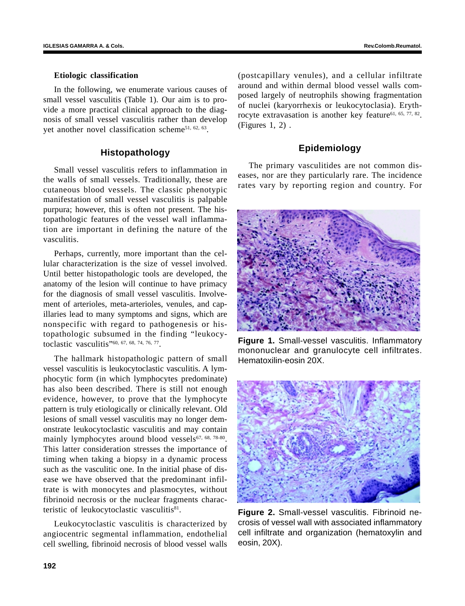#### **Etiologic classification**

In the following, we enumerate various causes of small vessel vasculitis (Table 1). Our aim is to provide a more practical clinical approach to the diagnosis of small vessel vasculitis rather than develop yet another novel classification scheme<sup>51, 62, 63</sup>.

# **Histopathology**

Small vessel vasculitis refers to inflammation in the walls of small vessels. Traditionally, these are cutaneous blood vessels. The classic phenotypic manifestation of small vessel vasculitis is palpable purpura; however, this is often not present. The histopathologic features of the vessel wall inflammation are important in defining the nature of the vasculitis.

Perhaps, currently, more important than the cellular characterization is the size of vessel involved. Until better histopathologic tools are developed, the anatomy of the lesion will continue to have primacy for the diagnosis of small vessel vasculitis. Involvement of arterioles, meta-arterioles, venules, and capillaries lead to many symptoms and signs, which are nonspecific with regard to pathogenesis or histopathologic subsumed in the finding "leukocytoclastic vasculitis"60, 67, 68, 74, 76, 77.

The hallmark histopathologic pattern of small vessel vasculitis is leukocytoclastic vasculitis. A lymphocytic form (in which lymphocytes predominate) has also been described. There is still not enough evidence, however, to prove that the lymphocyte pattern is truly etiologically or clinically relevant. Old lesions of small vessel vasculitis may no longer demonstrate leukocytoclastic vasculitis and may contain mainly lymphocytes around blood vessels $67, 68, 78-80$ . This latter consideration stresses the importance of timing when taking a biopsy in a dynamic process such as the vasculitic one. In the initial phase of disease we have observed that the predominant infiltrate is with monocytes and plasmocytes, without fibrinoid necrosis or the nuclear fragments characteristic of leukocytoclastic vasculitis<sup>81</sup>.

Leukocytoclastic vasculitis is characterized by angiocentric segmental inflammation, endothelial cell swelling, fibrinoid necrosis of blood vessel walls (postcapillary venules), and a cellular infiltrate around and within dermal blood vessel walls composed largely of neutrophils showing fragmentation of nuclei (karyorrhexis or leukocytoclasia). Erythrocyte extravasation is another key feature<sup>61, 65, 77, 82</sup>. (Figures 1, 2) .

# **Epidemiology**

The primary vasculitides are not common diseases, nor are they particularly rare. The incidence rates vary by reporting region and country. For



**Figure 1.** Small-vessel vasculitis. Inflammatory mononuclear and granulocyte cell infiltrates. Hematoxilin-eosin 20X.



**Figure 2.** Small-vessel vasculitis. Fibrinoid necrosis of vessel wall with associated inflammatory cell infiltrate and organization (hematoxylin and eosin, 20X).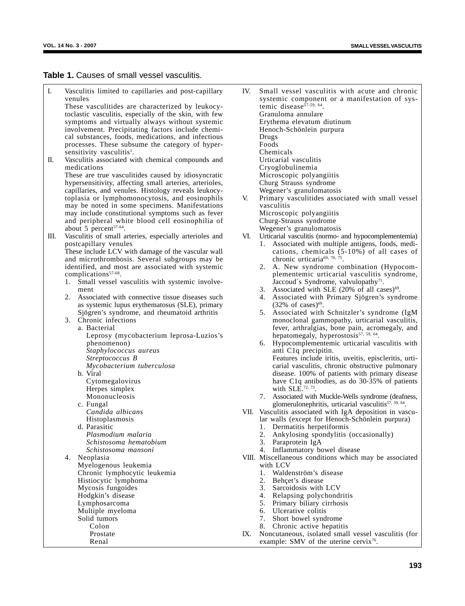#### **Table 1.** Causes of small vessel vasculitis.

I. Vasculitis limited to capillaries and post-capillary venules

These vasculitides are characterized by leukocytoclastic vasculitis, especially of the skin, with few symptoms and virtually always without systemic involvement. Precipitating factors include chemical substances, foods, medications, and infectious processes. These subsume the category of hypersensitivity vasculitis<sup>1</sup>.

II. Vasculitis associated with chemical compounds and medications These are true vasculitides caused by idiosyncratic

hypersensitivity, affecting small arteries, arterioles, capillaries, and venules. Histology reveals leukocytoplasia or lymphomonocytosis, and eosinophils may be noted in some specimens. Manifestations may include constitutional symptoms such as fever and peripheral white blood cell eosinophilia of about  $5$  percent<sup>57-64</sup>.

- III. Vasculitis of small arteries, especially arterioles and postcapillary venules These include LCV with damage of the vascular wall and microthrombosis. Several subgroups may be identified, and most are associated with systemic
	- complications<sup>57-68</sup>. 1. Small vessel vasculitis with systemic involvement
	- 2. Associated with connective tissue diseases such as systemic lupus erythematosus (SLE), primary Sjögren's syndrome, and rheumatoid arthritis
	- 3. Chronic infections

a. Bacterial

- Leprosy (mycobacterium leprosa-Luzios's phenomenon) *Staphylococcus aureus*
- *Streptococcus B*

*Mycobacterium tuberculosa*

- b. Viral Cytomegalovirus Herpes simplex Mononucleosis
- c. Fungal *Candida albicans* Histoplasmosis
- d. Parasitic *Plasmodium malaria Schistosoma hematobium Schistosoma mansoni*

4. Neoplasia Myelogenous leukemia Chronic lymphocytic leukemia Histiocytic lymphoma Mycosis fungoides Hodgkin's disease Lymphosarcoma Multiple myeloma Solid tumors Colon Prostate Renal

- IV. Small vessel vasculitis with acute and chronic systemic component or a manifestation of systemic disease<sup>57-59, 64</sup>. Granuloma annulare Erythema elevatum diutinum Henoch-Schönlein purpura Drugs Foods
	- Chemicals Urticarial vasculitis Cryoglobulinemia
	- Microscopic polyangiitis
	- Churg Strauss syndrome Wegener's granulomatosis
- V. Primary vasculitides associated with small vessel vasculitis Microscopic polyangiitis
	- Churg-Strauss syndrome Wegener's granulomatosis
- VI. Urticarial vasculitis (normo- and hypocomplementemia)
	- 1. Associated with multiple antigens, foods, medications, chemicals  $(5-10\%)$  of all cases of chronic urticaria<sup>69, 70, 75</sup>.
	- 2. A. New syndrome combination (Hypocomplementemic urticarial vasculitis syndrome, Jaccoud's Syndrome, valvulopathy $71$ .
	- 3. Associated with SLE  $(20\% \text{ of all cases})^{69}$ .
	- 4. Associated with Primary Sjögren's syndrome  $(32\% \text{ of cases})^{69}$ .
	- 5. Associated with Schnitzler's syndrome (IgM monoclonal gammopathy, urticarial vasculitis, fever, arthralgias, bone pain, acromegaly, and hepatomegaly, hyperostosis<sup>57, 59, 64</sup>.
	- 6. Hypocomplementemic urticarial vasculitis with anti C1q precipitin. Features include iritis, uveitis, episcleritis, urticarial vasculitis, chronic obstructive pulmonary disease. 100% of patients with primary disease have C1q antibodies, as do 30-35% of patients with  $SLE^{72, 73}$ .
	- 7. Associated with Muckle-Wells syndrome (deafness, glomerulonephritis, urticarial vasculitis<sup>57, 59, 64</sup>.
- VII. Vasculitis associated with IgA deposition in vascular walls (except for Henoch-Schönlein purpura)
	- 1. Dermatitis herpetiformis
	- 2. Ankylosing spondylitis (occasionally)
	- 3. Paraprotein IgA
	- 4. Inflammatory bowel disease
- VIII. Miscellaneous conditions which may be associated with LCV
	- 1. Waldenström's disease
	- 2. Behçet's disease
	- 3. Sarcoidosis with LCV<br>4. Relansing polychondi
	- 4. Relapsing polychondritis<br>5. Primary biliary cirrhosis
	- 5. Primary biliary cirrhosis
	- 6. Ulcerative colitis
	- 7. Short bowel syndrome
	- 8. Chronic active hepatitis
- IX. Noncutaneous, isolated small vessel vasculitis (for example: SMV of the uterine cervix<sup>76</sup>.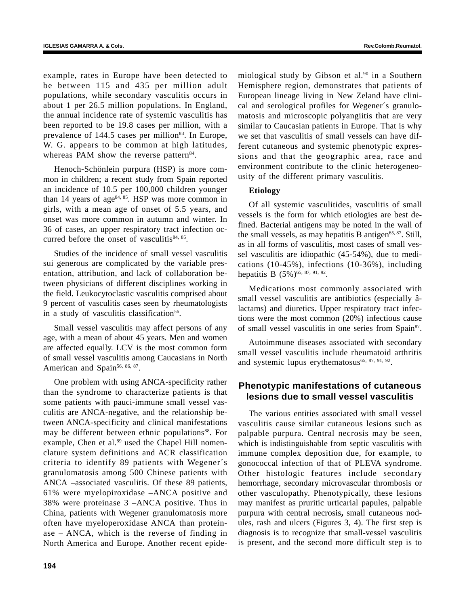example, rates in Europe have been detected to be between 115 and 435 per million adult populations, while secondary vasculitis occurs in about 1 per 26.5 million populations. In England, the annual incidence rate of systemic vasculitis has been reported to be 19.8 cases per million, with a prevalence of  $144.5$  cases per million<sup>83</sup>. In Europe, W. G. appears to be common at high latitudes, whereas PAM show the reverse pattern<sup>84</sup>.

Henoch-Schönlein purpura (HSP) is more common in children; a recent study from Spain reported an incidence of 10.5 per 100,000 children younger than 14 years of age<sup>84, 85</sup>. HSP was more common in girls, with a mean age of onset of 5.5 years, and onset was more common in autumn and winter. In 36 of cases, an upper respiratory tract infection occurred before the onset of vasculitis $84, 85$ .

Studies of the incidence of small vessel vasculitis sui generous are complicated by the variable presentation, attribution, and lack of collaboration between physicians of different disciplines working in the field. Leukocytoclastic vasculitis comprised about 9 percent of vasculitis cases seen by rheumatologists in a study of vasculitis classification<sup>56</sup>.

Small vessel vasculitis may affect persons of any age, with a mean of about 45 years. Men and women are affected equally. LCV is the most common form of small vessel vasculitis among Caucasians in North American and Spain<sup>56, 86, 87</sup>.

One problem with using ANCA-specificity rather than the syndrome to characterize patients is that some patients with pauci-immune small vessel vasculitis are ANCA-negative, and the relationship between ANCA-specificity and clinical manifestations may be different between ethnic populations<sup>88</sup>. For example, Chen et al.<sup>89</sup> used the Chapel Hill nomenclature system definitions and ACR classification criteria to identify 89 patients with Wegener´s granulomatosis among 500 Chinese patients with ANCA –associated vasculitis. Of these 89 patients, 61% were myelopiroxidase –ANCA positive and 38% were proteinase 3 –ANCA positive. Thus in China, patients with Wegener granulomatosis more often have myeloperoxidase ANCA than proteinase – ANCA, which is the reverse of finding in North America and Europe. Another recent epidemiological study by Gibson et al.<sup>90</sup> in a Southern Hemisphere region, demonstrates that patients of European lineage living in New Zeland have clinical and serological profiles for Wegener´s granulomatosis and microscopic polyangiitis that are very similar to Caucasian patients in Europe. That is why we set that vasculitis of small vessels can have different cutaneous and systemic phenotypic expressions and that the geographic area, race and environment contribute to the clinic heterogeneousity of the different primary vasculitis.

## **Etiology**

Of all systemic vasculitides, vasculitis of small vessels is the form for which etiologies are best defined. Bacterial antigens may be noted in the wall of the small vessels, as may hepatitis B antigen<sup>65, 87</sup>. Still, as in all forms of vasculitis, most cases of small vessel vasculitis are idiopathic (45-54%), due to medications (10-45%), infections (10-36%), including hepatitis B  $(5\%)$ <sup>65, 87, 91, 92</sup>.

Medications most commonly associated with small vessel vasculitis are antibiotics (especially âlactams) and diuretics. Upper respiratory tract infections were the most common (20%) infectious cause of small vessel vasculitis in one series from Spain87.

Autoimmune diseases associated with secondary small vessel vasculitis include rheumatoid arthritis and systemic lupus erythematosus<sup>65, 87, 91, 92</sup>.

# **Phenotypic manifestations of cutaneous lesions due to small vessel vasculitis**

The various entities associated with small vessel vasculitis cause similar cutaneous lesions such as palpable purpura. Central necrosis may be seen, which is indistinguishable from septic vasculitis with immune complex deposition due, for example, to gonococcal infection of that of PLEVA syndrome. Other histologic features include secondary hemorrhage, secondary microvascular thrombosis or other vasculopathy. Phenotypically, these lesions may manifest as pruritic urticarial papules, palpable purpura with central necrosis**,** small cutaneous nodules, rash and ulcers (Figures 3, 4). The first step is diagnosis is to recognize that small-vessel vasculitis is present, and the second more difficult step is to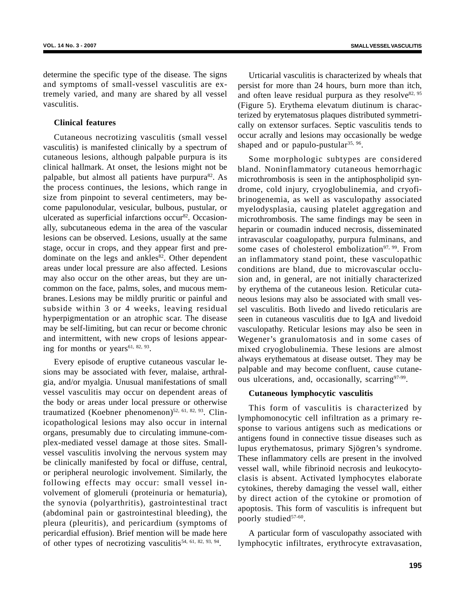determine the specific type of the disease. The signs and symptoms of small-vessel vasculitis are extremely varied, and many are shared by all vessel vasculitis.

## **Clinical features**

Cutaneous necrotizing vasculitis (small vessel vasculitis) is manifested clinically by a spectrum of cutaneous lesions, although palpable purpura is its clinical hallmark. At onset, the lesions might not be palpable, but almost all patients have purpura $^{82}$ . As the process continues, the lesions, which range in size from pinpoint to several centimeters, may become papulonodular, vesicular, bulbous, pustular, or ulcerated as superficial infarctions occur<sup>82</sup>. Occasionally, subcutaneous edema in the area of the vascular lesions can be observed. Lesions, usually at the same stage, occur in crops, and they appear first and predominate on the legs and ankles $82$ . Other dependent areas under local pressure are also affected. Lesions may also occur on the other areas, but they are uncommon on the face, palms, soles, and mucous membranes. Lesions may be mildly pruritic or painful and subside within 3 or 4 weeks, leaving residual hyperpigmentation or an atrophic scar. The disease may be self-limiting, but can recur or become chronic and intermittent, with new crops of lesions appearing for months or years<sup>61, 82, 93</sup>.

Every episode of eruptive cutaneous vascular lesions may be associated with fever, malaise, arthralgia, and/or myalgia. Unusual manifestations of small vessel vasculitis may occur on dependent areas of the body or areas under local pressure or otherwise traumatized (Koebner phenomenon) $52, 61, 82, 93$ . Clinicopathological lesions may also occur in internal organs, presumably due to circulating immune-complex-mediated vessel damage at those sites. Smallvessel vasculitis involving the nervous system may be clinically manifested by focal or diffuse, central, or peripheral neurologic involvement. Similarly, the following effects may occur: small vessel involvement of glomeruli (proteinuria or hematuria), the synovia (polyarthritis), gastrointestinal tract (abdominal pain or gastrointestinal bleeding), the pleura (pleuritis), and pericardium (symptoms of pericardial effusion). Brief mention will be made here of other types of necrotizing vasculitis<sup>54, 61, 82, 93, 94</sup>.

Urticarial vasculitis is characterized by wheals that persist for more than 24 hours, burn more than itch, and often leave residual purpura as they resolve  $82,95$ (Figure 5). Erythema elevatum diutinum is characterized by erytematosus plaques distributed symmetrically on extensor surfaces. Septic vasculitis tends to occur acrally and lesions may occasionally be wedge shaped and or papulo-pustular<sup>35, 96</sup>.

Some morphologic subtypes are considered bland. Noninflammatory cutaneous hemorrhagic microthrombosis is seen in the antiphospholipid syndrome, cold injury, cryoglobulinemia, and cryofibrinogenemia, as well as vasculopathy associated myelodysplasia, causing platelet aggregation and microthrombosis. The same findings may be seen in heparin or coumadin induced necrosis, disseminated intravascular coagulopathy, purpura fulminans, and some cases of cholesterol embolization<sup>97, 99</sup>. From an inflammatory stand point, these vasculopathic conditions are bland, due to microvascular occlusion and, in general, are not initially characterized by erythema of the cutaneous lesion. Reticular cutaneous lesions may also be associated with small vessel vasculitis. Both livedo and livedo reticularis are seen in cutaneous vasculitis due to IgA and livedoid vasculopathy. Reticular lesions may also be seen in Wegener's granulomatosis and in some cases of mixed cryoglobulinemia. These lesions are almost always erythematous at disease outset. They may be palpable and may become confluent, cause cutaneous ulcerations, and, occasionally, scarring97-99.

#### **Cutaneous lymphocytic vasculitis**

This form of vasculitis is characterized by lymphomonocytic cell infiltration as a primary response to various antigens such as medications or antigens found in connective tissue diseases such as lupus erythematosus, primary Sjögren's syndrome. These inflammatory cells are present in the involved vessel wall, while fibrinoid necrosis and leukocytoclasis is absent. Activated lymphocytes elaborate cytokines, thereby damaging the vessel wall, either by direct action of the cytokine or promotion of apoptosis. This form of vasculitis is infrequent but poorly studied<sup>57-60</sup>.

A particular form of vasculopathy associated with lymphocytic infiltrates, erythrocyte extravasation,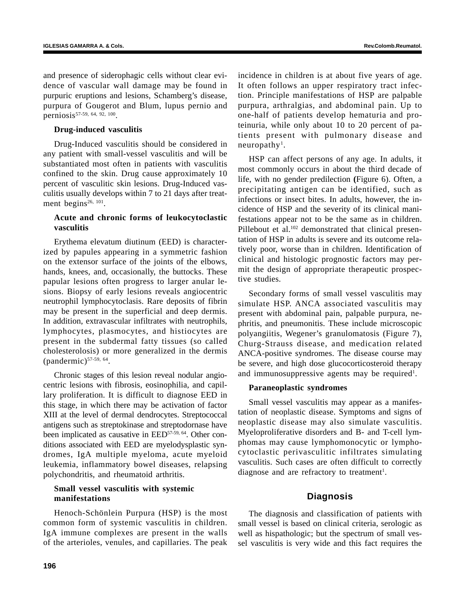and presence of siderophagic cells without clear evidence of vascular wall damage may be found in purpuric eruptions and lesions, Schamberg's disease, purpura of Gougerot and Blum, lupus pernio and perniosis57-59, 64, 92, 100.

#### **Drug-induced vasculitis**

Drug-Induced vasculitis should be considered in any patient with small-vessel vasculitis and will be substantiated most often in patients with vasculitis confined to the skin. Drug cause approximately 10 percent of vasculitic skin lesions. Drug-Induced vasculitis usually develops within 7 to 21 days after treatment begins<sup>26, 101</sup>.

# **Acute and chronic forms of leukocytoclastic vasculitis**

Erythema elevatum diutinum (EED) is characterized by papules appearing in a symmetric fashion on the extensor surface of the joints of the elbows, hands, knees, and, occasionally, the buttocks. These papular lesions often progress to larger anular lesions. Biopsy of early lesions reveals angiocentric neutrophil lymphocytoclasis. Rare deposits of fibrin may be present in the superficial and deep dermis. In addition, extravascular infiltrates with neutrophils, lymphocytes, plasmocytes, and histiocytes are present in the subdermal fatty tissues (so called cholesterolosis) or more generalized in the dermis  $(pandermic)^{57-59, 64}$ .

Chronic stages of this lesion reveal nodular angiocentric lesions with fibrosis, eosinophilia, and capillary proliferation. It is difficult to diagnose EED in this stage, in which there may be activation of factor XIII at the level of dermal dendrocytes. Streptococcal antigens such as streptokinase and streptodornase have been implicated as causative in EED<sup>57-59, 64</sup>. Other conditions associated with EED are myelodysplastic syndromes, IgA multiple myeloma, acute myeloid leukemia, inflammatory bowel diseases, relapsing polychondritis, and rheumatoid arthritis.

# **Small vessel vasculitis with systemic manifestations**

Henoch-Schönlein Purpura (HSP) is the most common form of systemic vasculitis in children. IgA immune complexes are present in the walls of the arterioles, venules, and capillaries. The peak incidence in children is at about five years of age. It often follows an upper respiratory tract infection. Principle manifestations of HSP are palpable purpura, arthralgias, and abdominal pain. Up to one-half of patients develop hematuria and proteinuria, while only about 10 to 20 percent of patients present with pulmonary disease and  $neuropathv<sup>1</sup>$ .

HSP can affect persons of any age. In adults, it most commonly occurs in about the third decade of life, with no gender predilection **(**Figure 6). Often, a precipitating antigen can be identified, such as infections or insect bites. In adults, however, the incidence of HSP and the severity of its clinical manifestations appear not to be the same as in children. Pillebout et al.<sup>102</sup> demonstrated that clinical presentation of HSP in adults is severe and its outcome relatively poor, worse than in children. Identification of clinical and histologic prognostic factors may permit the design of appropriate therapeutic prospective studies.

Secondary forms of small vessel vasculitis may simulate HSP. ANCA associated vasculitis may present with abdominal pain, palpable purpura, nephritis, and pneumonitis. These include microscopic polyangiitis, Wegener's granulomatosis (Figure 7), Churg-Strauss disease, and medication related ANCA-positive syndromes. The disease course may be severe, and high dose glucocorticosteroid therapy and immunosuppressive agents may be required<sup>1</sup>.

# **Paraneoplastic syndromes**

Small vessel vasculitis may appear as a manifestation of neoplastic disease. Symptoms and signs of neoplastic disease may also simulate vasculitis. Myeloproliferative disorders and B- and T-cell lymphomas may cause lymphomonocytic or lymphocytoclastic perivasculitic infiltrates simulating vasculitis. Such cases are often difficult to correctly diagnose and are refractory to treatment<sup>1</sup>.

# **Diagnosis**

The diagnosis and classification of patients with small vessel is based on clinical criteria, serologic as well as hispathologic; but the spectrum of small vessel vasculitis is very wide and this fact requires the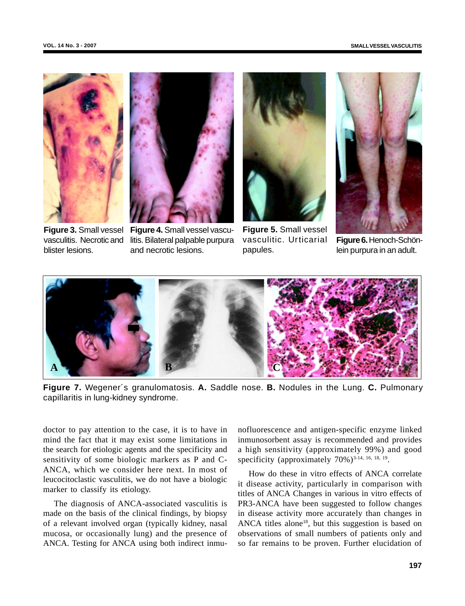



**Figure 3.** Small vessel vasculitis. Necrotic and blister lesions.

**Figure 4.** Small vessel vasculitis. Bilateral palpable purpura and necrotic lesions.



**Figure 5.** Small vessel vasculitic. Urticarial papules.



**Figure 6.** Henoch-Schönlein purpura in an adult.



**Figure 7.** Wegener´s granulomatosis. **A.** Saddle nose. **B.** Nodules in the Lung. **C.** Pulmonary capillaritis in lung-kidney syndrome.

doctor to pay attention to the case, it is to have in mind the fact that it may exist some limitations in the search for etiologic agents and the specificity and sensitivity of some biologic markers as P and C-ANCA, which we consider here next. In most of leucocitoclastic vasculitis, we do not have a biologic marker to classify its etiology.

The diagnosis of ANCA-associated vasculitis is made on the basis of the clinical findings, by biopsy of a relevant involved organ (typically kidney, nasal mucosa, or occasionally lung) and the presence of ANCA. Testing for ANCA using both indirect inmu-

nofluorescence and antigen-specific enzyme linked inmunosorbent assay is recommended and provides a high sensitivity (approximately 99%) and good specificity (approximately  $70\%$ )<sup>3-14, 16, 18, 19</sup>.

How do these in vitro effects of ANCA correlate it disease activity, particularly in comparison with titles of ANCA Changes in various in vitro effects of PR3-ANCA have been suggested to follow changes in disease activity more accurately than changes in ANCA titles alone<sup>18</sup>, but this suggestion is based on observations of small numbers of patients only and so far remains to be proven. Further elucidation of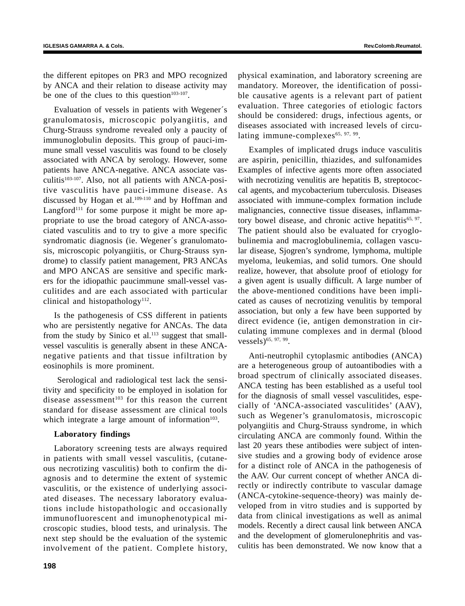the different epitopes on PR3 and MPO recognized by ANCA and their relation to disease activity may be one of the clues to this question<sup>103-107</sup>.

Evaluation of vessels in patients with Wegener´s granulomatosis, microscopic polyangiitis, and Churg-Strauss syndrome revealed only a paucity of immunoglobulin deposits. This group of pauci-immune small vessel vasculitis was found to be closely associated with ANCA by serology. However, some patients have ANCA-negative. ANCA associate vasculitis<sup>103-107</sup>. Also, not all patients with ANCA-positive vasculitis have pauci-immune disease. As discussed by Hogan et al.<sup>109-110</sup> and by Hoffman and Langford<sup>111</sup> for some purpose it might be more appropriate to use the broad category of ANCA-associated vasculitis and to try to give a more specific syndromatic diagnosis (ie. Wegener´s granulomatosis, microscopic polyangiitis, or Churg-Strauss syndrome) to classify patient management, PR3 ANCAs and MPO ANCAS are sensitive and specific markers for the idiopathic paucimmune small-vessel vasculitides and are each associated with particular clinical and histopathology<sup>112</sup>.

Is the pathogenesis of CSS different in patients who are persistently negative for ANCAs. The data from the study by Sinico et al. $^{113}$  suggest that smallvessel vasculitis is generally absent in these ANCAnegative patients and that tissue infiltration by eosinophils is more prominent.

 Serological and radiological test lack the sensitivity and specificity to be employed in isolation for disease assessment<sup>103</sup> for this reason the current standard for disease assessment are clinical tools which integrate a large amount of information $103$ .

#### **Laboratory findings**

Laboratory screening tests are always required in patients with small vessel vasculitis, (cutaneous necrotizing vasculitis) both to confirm the diagnosis and to determine the extent of systemic vasculitis, or the existence of underlying associated diseases. The necessary laboratory evaluations include histopathologic and occasionally immunofluorescent and imunophenotypical microscopic studies, blood tests, and urinalysis. The next step should be the evaluation of the systemic involvement of the patient. Complete history, physical examination, and laboratory screening are mandatory. Moreover, the identification of possible causative agents is a relevant part of patient evaluation. Three categories of etiologic factors should be considered: drugs, infectious agents, or diseases associated with increased levels of circulating immune-complexes<sup>65, 97, 99</sup>.

Examples of implicated drugs induce vasculitis are aspirin, penicillin, thiazides, and sulfonamides Examples of infective agents more often associated with necrotizing venulitis are hepatitis B, streptococcal agents, and mycobacterium tuberculosis. Diseases associated with immune-complex formation include malignancies, connective tissue diseases, inflammatory bowel disease, and chronic active hepatitis<sup>65, 97</sup>. The patient should also be evaluated for cryoglobulinemia and macroglobulinemia, collagen vascular disease, Sjogren's syndrome, lymphoma, multiple myeloma, leukemias, and solid tumors. One should realize, however, that absolute proof of etiology for a given agent is usually difficult. A large number of the above-mentioned conditions have been implicated as causes of necrotizing venulitis by temporal association, but only a few have been supported by direct evidence (ie, antigen demonstration in circulating immune complexes and in dermal (blood vessels)<sup>65, 97, 99</sup>.

Anti-neutrophil cytoplasmic antibodies (ANCA) are a heterogeneous group of autoantibodies with a broad spectrum of clinically associated diseases. ANCA testing has been established as a useful tool for the diagnosis of small vessel vasculitides, especially of 'ANCA-associated vasculitides' (AAV), such as Wegener's granulomatosis, microscopic polyangiitis and Churg-Strauss syndrome, in which circulating ANCA are commonly found. Within the last 20 years these antibodies were subject of intensive studies and a growing body of evidence arose for a distinct role of ANCA in the pathogenesis of the AAV. Our current concept of whether ANCA directly or indirectly contribute to vascular damage (ANCA-cytokine-sequence-theory) was mainly developed from in vitro studies and is supported by data from clinical investigations as well as animal models. Recently a direct causal link between ANCA and the development of glomerulonephritis and vasculitis has been demonstrated. We now know that a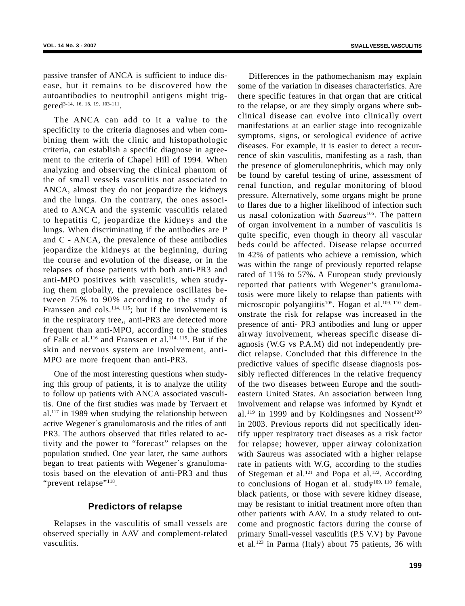passive transfer of ANCA is sufficient to induce disease, but it remains to be discovered how the autoantibodies to neutrophil antigens might triggered<sup>3-14, 16, 18, 19, 103-111</sup>

The ANCA can add to it a value to the specificity to the criteria diagnoses and when combining them with the clinic and histopathologic criteria, can establish a specific diagnose in agreement to the criteria of Chapel Hill of 1994. When analyzing and observing the clinical phantom of the of small vessels vasculitis not associated to ANCA, almost they do not jeopardize the kidneys and the lungs. On the contrary, the ones associated to ANCA and the systemic vasculitis related to hepatitis C, jeopardize the kidneys and the lungs. When discriminating if the antibodies are P and C - ANCA, the prevalence of these antibodies jeopardize the kidneys at the beginning, during the course and evolution of the disease, or in the relapses of those patients with both anti-PR3 and anti-MPO positives with vasculitis, when studying them globally, the prevalence oscillates between 75% to 90% according to the study of Franssen and cols.<sup>114, 115</sup>; but if the involvement is in the respiratory tree,, anti-PR3 are detected more frequent than anti-MPO, according to the studies of Falk et al.<sup>116</sup> and Franssen et al.<sup>114, 115</sup>. But if the skin and nervous system are involvement, anti-MPO are more frequent than anti-PR3.

One of the most interesting questions when studying this group of patients, it is to analyze the utility to follow up patients with ANCA associated vasculitis. One of the first studies was made by Tervaert et  $al.$ <sup>117</sup> in 1989 when studying the relationship between active Wegener´s granulomatosis and the titles of anti PR3. The authors observed that titles related to activity and the power to "forecast" relapses on the population studied. One year later, the same authors began to treat patients with Wegener´s granulomatosis based on the elevation of anti-PR3 and thus "prevent relapse"<sup>118</sup>.

# **Predictors of relapse**

Relapses in the vasculitis of small vessels are observed specially in AAV and complement-related vasculitis.

Differences in the pathomechanism may explain some of the variation in diseases characteristics. Are there specific features in that organ that are critical to the relapse, or are they simply organs where subclinical disease can evolve into clinically overt manifestations at an earlier stage into recognizable symptoms, signs, or serological evidence of active diseases. For example, it is easier to detect a recurrence of skin vasculitis, manifesting as a rash, than the presence of glomerulonephritis, which may only be found by careful testing of urine, assessment of renal function, and regular monitoring of blood pressure. Alternatively, some organs might be prone to flares due to a higher likelihood of infection such us nasal colonization with *Saureus*105. The pattern of organ involvement in a number of vasculitis is quite specific, even though in theory all vascular beds could be affected. Disease relapse occurred in 42% of patients who achieve a remission, which was within the range of previously reported relapse rated of 11% to 57%. A European study previously reported that patients with Wegener's granulomatosis were more likely to relapse than patients with microscopic polyangiitis<sup>105</sup>. Hogan et al.<sup>109, 110</sup> demonstrate the risk for relapse was increased in the presence of anti- PR3 antibodies and lung or upper airway involvement, whereas specific disease diagnosis (W.G vs P.A.M) did not independently predict relapse. Concluded that this difference in the predictive values of specific disease diagnosis possibly reflected differences in the relative frequency of the two diseases between Europe and the southeastern United States. An association between lung involvement and relapse was informed by Kyndt et al.<sup>119</sup> in 1999 and by Koldingsnes and Nossent<sup>120</sup> in 2003. Previous reports did not specifically identify upper respiratory tract diseases as a risk factor for relapse; however, upper airway colonization with Saureus was associated with a higher relapse rate in patients with W.G, according to the studies of Stegeman et al.<sup>121</sup> and Popa et al.<sup>122</sup>. According to conclusions of Hogan et al. study<sup>109, 110</sup> female, black patients, or those with severe kidney disease, may be resistant to initial treatment more often than other patients with AAV. In a study related to outcome and prognostic factors during the course of primary Small-vessel vasculitis (P.S V.V) by Pavone et al.<sup>123</sup> in Parma (Italy) about 75 patients, 36 with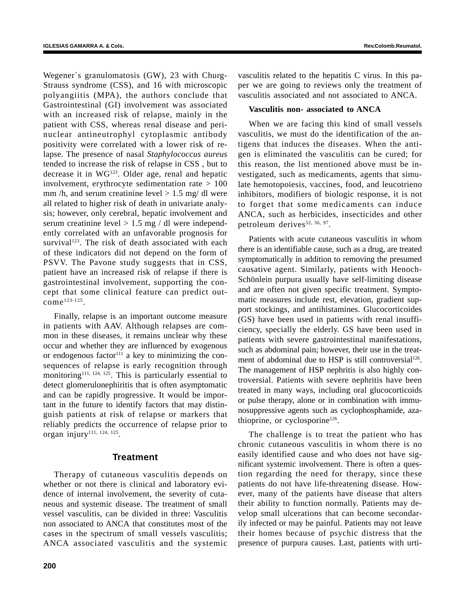Wegener´s granulomatosis (GW), 23 with Churg-Strauss syndrome (CSS), and 16 with microscopic polyangiitis (MPA), the authors conclude that Gastrointestinal (GI) involvement was associated with an increased risk of relapse, mainly in the patient with CSS, whereas renal disease and perinuclear antineutrophyl cytoplasmic antibody positivity were correlated with a lower risk of relapse. The presence of nasal *Staphylococcus aureus* tended to increase the risk of relapse in CSS , but to decrease it in WG123. Older age, renal and hepatic involvement, erythrocyte sedimentation rate  $> 100$ mm  $/h$ , and serum creatinine level  $> 1.5$  mg/ dl were all related to higher risk of death in univariate analysis; however, only cerebral, hepatic involvement and serum creatinine level  $> 1.5$  mg / dl were independently correlated with an unfavorable prognosis for survival<sup>123</sup>. The risk of death associated with each of these indicators did not depend on the form of PSVV. The Pavone study suggests that in CSS, patient have an increased risk of relapse if there is gastrointestinal involvement, supporting the concept that some clinical feature can predict outcome 123-125.

Finally, relapse is an important outcome measure in patients with AAV. Although relapses are common in these diseases, it remains unclear why these occur and whether they are influenced by exogenous or endogenous factor<sup> $111$ </sup> a key to minimizing the consequences of relapse is early recognition through monitoring<sup>111, 124, 125</sup>. This is particularly essential to detect glomerulonephiritis that is often asymptomatic and can be rapidly progressive. It would be important in the future to identify factors that may distinguish patients at risk of relapse or markers that reliably predicts the occurrence of relapse prior to organ injury<sup>111, 124, 125</sup>.

# **Treatment**

Therapy of cutaneous vasculitis depends on whether or not there is clinical and laboratory evidence of internal involvement, the severity of cutaneous and systemic disease. The treatment of small vessel vasculitis, can be divided in three: Vasculitis non associated to ANCA that constitutes most of the cases in the spectrum of small vessels vasculitis; ANCA associated vasculitis and the systemic

vasculitis related to the hepatitis C virus. In this paper we are going to reviews only the treatment of vasculitis associated and not associated to ANCA.

#### **Vasculitis non- associated to ANCA**

When we are facing this kind of small vessels vasculitis, we must do the identification of the antigens that induces the diseases. When the antigen is eliminated the vasculitis can be cured; for this reason, the list mentioned above must be investigated, such as medicaments, agents that simulate hemotopoiesis, vaccines, food, and leucotrieno inhibitors, modifiers of biologic response, it is not to forget that some medicaments can induce ANCA, such as herbicides, insecticides and other petroleum derives<sup>52, 56, 97</sup>.

Patients with acute cutaneous vasculitis in whom there is an identifiable cause, such as a drug, are treated symptomatically in addition to removing the presumed causative agent. Similarly, patients with Henoch-Schönlein purpura usually have self-limiting disease and are often not given specific treatment. Symptomatic measures include rest, elevation, gradient support stockings, and antihistamines. Glucocorticoides (GS) have been used in patients with renal insufficiency, specially the elderly. GS have been used in patients with severe gastrointestinal manifestations, such as abdominal pain; however, their use in the treatment of abdominal due to HSP is still controversial<sup>126</sup>. The management of HSP nephritis is also highly controversial. Patients with severe nephritis have been treated in many ways, including oral glucocorticoids or pulse therapy, alone or in combination with immunosuppressive agents such as cyclophosphamide, azathioprine, or cyclosporine<sup>126</sup>.

The challenge is to treat the patient who has chronic cutaneous vasculitis in whom there is no easily identified cause and who does not have significant systemic involvement. There is often a question regarding the need for therapy, since these patients do not have life-threatening disease. However, many of the patients have disease that alters their ability to function normally. Patients may develop small ulcerations that can become secondarily infected or may be painful. Patients may not leave their homes because of psychic distress that the presence of purpura causes. Last, patients with urti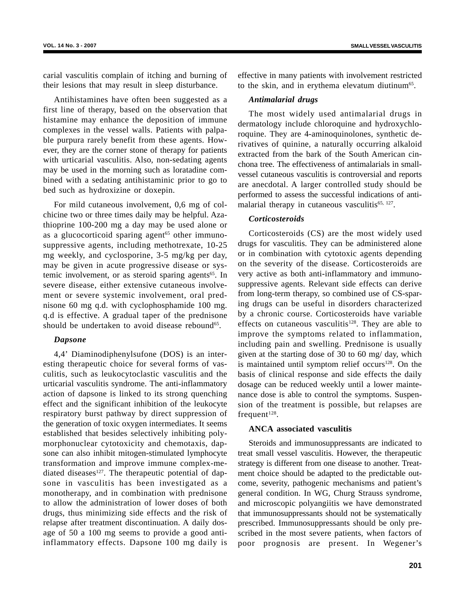carial vasculitis complain of itching and burning of their lesions that may result in sleep disturbance.

Antihistamines have often been suggested as a first line of therapy, based on the observation that histamine may enhance the deposition of immune complexes in the vessel walls. Patients with palpable purpura rarely benefit from these agents. However, they are the corner stone of therapy for patients with urticarial vasculitis. Also, non-sedating agents may be used in the morning such as loratadine combined with a sedating antihistaminic prior to go to bed such as hydroxizine or doxepin.

For mild cutaneous involvement, 0,6 mg of colchicine two or three times daily may be helpful. Azathioprine 100-200 mg a day may be used alone or as a glucocorticoid sparing agent<sup>65</sup> other immunosuppressive agents, including methotrexate, 10-25 mg weekly, and cyclosporine, 3-5 mg/kg per day, may be given in acute progressive disease or systemic involvement, or as steroid sparing agents<sup>65</sup>. In severe disease, either extensive cutaneous involvement or severe systemic involvement, oral prednisone 60 mg q.d. with cyclophosphamide 100 mg. q.d is effective. A gradual taper of the prednisone should be undertaken to avoid disease rebound<sup>65</sup>.

#### *Dapsone*

4,4' Diaminodiphenylsufone (DOS) is an interesting therapeutic choice for several forms of vasculitis, such as leukocytoclastic vasculitis and the urticarial vasculitis syndrome. The anti-inflammatory action of dapsone is linked to its strong quenching effect and the significant inhibition of the leukocyte respiratory burst pathway by direct suppression of the generation of toxic oxygen intermediates. It seems established that besides selectively inhibiting polymorphonuclear cytotoxicity and chemotaxis, dapsone can also inhibit mitogen-stimulated lymphocyte transformation and improve immune complex-mediated diseases $127$ . The therapeutic potential of dapsone in vasculitis has been investigated as a monotherapy, and in combination with prednisone to allow the administration of lower doses of both drugs, thus minimizing side effects and the risk of relapse after treatment discontinuation. A daily dosage of 50 a 100 mg seems to provide a good antiinflammatory effects. Dapsone 100 mg daily is effective in many patients with involvement restricted to the skin, and in erythema elevatum diutinum<sup>65</sup>.

#### *Antimalarial drugs*

The most widely used antimalarial drugs in dermatology include chloroquine and hydroxychloroquine. They are 4-aminoquinolones, synthetic derivatives of quinine, a naturally occurring alkaloid extracted from the bark of the South American cinchona tree. The effectiveness of antimalarials in smallvessel cutaneous vasculitis is controversial and reports are anecdotal. A larger controlled study should be performed to assess the successful indications of antimalarial therapy in cutaneous vasculitis $65, 127$ .

# *Corticosteroids*

Corticosteroids (CS) are the most widely used drugs for vasculitis. They can be administered alone or in combination with cytotoxic agents depending on the severity of the disease. Corticosteroids are very active as both anti-inflammatory and immunosuppressive agents. Relevant side effects can derive from long-term therapy, so combined use of CS-sparing drugs can be useful in disorders characterized by a chronic course. Corticosteroids have variable effects on cutaneous vasculitis $128$ . They are able to improve the symptoms related to inflammation, including pain and swelling. Prednisone is usually given at the starting dose of 30 to 60 mg/ day, which is maintained until symptom relief occurs<sup>128</sup>. On the basis of clinical response and side effects the daily dosage can be reduced weekly until a lower maintenance dose is able to control the symptoms. Suspension of the treatment is possible, but relapses are frequent $128$ .

## **ANCA associated vasculitis**

Steroids and immunosuppressants are indicated to treat small vessel vasculitis. However, the therapeutic strategy is different from one disease to another. Treatment choice should be adapted to the predictable outcome, severity, pathogenic mechanisms and patient's general condition. In WG, Churg Strauss syndrome, and microscopic polyangiitis we have demonstrated that immunosuppressants should not be systematically prescribed. Immunosuppressants should be only prescribed in the most severe patients, when factors of poor prognosis are present. In Wegener's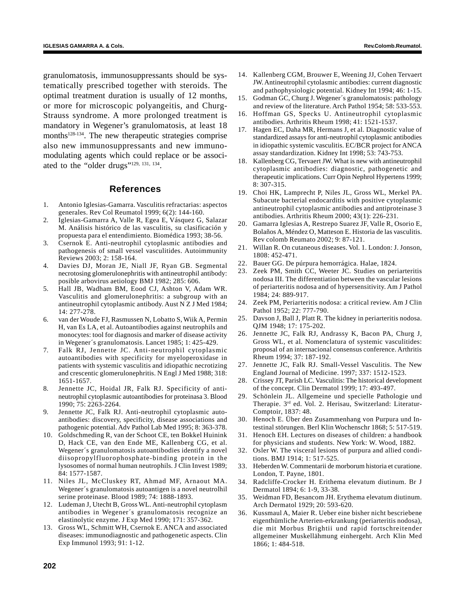granulomatosis, immunosuppressants should be systematically prescribed together with steroids. The optimal treatment duration is usually of 12 months, or more for microscopic polyangeitis, and Churg-Strauss syndrome. A more prolonged treatment is mandatory in Wegener's granulomatosis, at least 18 months<sup>128-134</sup>. The new therapeutic strategies comprise also new immunosuppressants and new immunomodulating agents which could replace or be associated to the "older drugs"129, 131, 134.

# **References**

- 1. Antonio Iglesias-Gamarra. Vasculitis refractarias: aspectos generales. Rev Col Reumatol 1999; 6(2): 144-160.
- 2. Iglesias-Gamarra A, Valle R, Egea E, Vásquez G, Salazar M. Análisis histórico de las vasculitis, su clasificación y propuesta para el entendimiento. Biomédica 1993; 38-56.
- 3. Csernok E. Anti-neutrophil cytoplasmic antibodies and pathogenesis of small vessel vasculitides. Autoimmunity Reviews 2003; 2: 158-164.
- 4. Davies DJ, Moran JE, Niall JF, Ryan GB. Segmental necrotosing glomerulonephritis with antineutrophil antibody: posible arbovirus aetiology BMJ 1982; 285: 606.
- 5. Hall JB, Wadham BM, Eood CJ, Ashton V, Adam WR. Vasculitis and glomerulonephritis: a subgroup with an antineutrophil cytoplasmic antibody. Aust N Z J Med 1984; 14: 277-278.
- 6. van der Woude FJ, Rasmussen N, Lobatto S, Wiik A, Permin H, van Es LA, et al. Autoantibodies against neutrophils and monocytes: tool for diagnosis and marker of disease activity in Wegener´s granulomatosis. Lancet 1985; 1: 425-429.
- 7. Falk RJ, Jennette JC. Anti-neutrophil cytoplasmic autoantibodies with specificity for myeloperoxidase in patients with systemic vasculitis and idiopathic necrotizing and crescentic glomerulonephritis. N Engl J Med 1988; 318: 1651-1657.
- 8. Jennette JC, Hoidal JR, Falk RJ. Specificity of antineutrophil cytoplasmic autoantibodies for proteinasa 3. Blood 1990; 75: 2263-2264.
- 9. Jennette JC, Falk RJ. Anti-neutrophil cytoplasmic autoantibodies: discovery, specificity, disease associations and pathogenic potential. Adv Pathol Lab Med 1995; 8: 363-378.
- 10. Goldschmeding R, van der Schoot CE, ten Bokkel Huinink D, Hack CE, van den Ende ME, Kallenberg CG, et al. Wegener´s granulomatosis autoantibodies identify a novel diisopropylfluorophosphate-binding protein in the lysosomes of normal human neutrophils. J Clin Invest 1989; 84: 1577-1587.
- 11. Niles JL, McCluskey RT, Ahmad MF, Arnaout MA. Wegener´s granulomatosis autoantigen is a novel neutrolhil serine proteinase. Blood 1989; 74: 1888-1893.
- 12. Ludeman J, Utecht B, Gross WL. Anti-neutrophil cytoplasm antibodies in Wegener´s granulomatosis recognize an elastinolytic enzyme. J Exp Med 1990; 171: 357-362.
- 13. Gross WL, Schmitt WH, Csernok E. ANCA and associated diseases: immunodiagnostic and pathogenetic aspects. Clin Exp Immunol 1993; 91: 1-12.
- 14. Kallenberg CGM, Brouwer E, Weening JJ, Cohen Tervaert JW. Antineutrophil cytolasmic antibodies: current diagnostic and pathophysiologic potential. Kidney Int 1994; 46: 1-15.
- 15. Godman GC, Churg J. Wegener´s granulomatosis: pathology and review of the literature. Arch Pathol 1954; 58: 533-553.
- 16. Hoffman GS, Specks U. Antineutrophil cytoplasmic antibodies. Arthritis Rheum 1998; 41: 1521-1537.
- 17. Hagen EC, Daha MR, Hermans J, et al. Diagnostic value of standardized assays for anti-neutrophil cytoplasmic antibodies in idiopathic systemic vasculitis. EC/BCR project for ANCA assay standardization. Kidney Int 1998; 53: 743-753.
- 18. Kallenberg CG, Tervaert JW. What is new with antineutrophil cytoplasmic antibodies: diagnostic, pathogenetic and therapeutic implications. Curr Opin Nephrol Hypertens 1999; 8: 307-315.
- 19. Choi HK, Lamprecht P, Niles JL, Gross WL, Merkel PA. Subacute bacterial endocarditis with positive cytoplasmic antineutrophil cytoplasmic antibodies and antiproteinase 3 antibodies. Arthritis Rheum 2000; 43(1): 226-231.
- 20. Gamarra Iglesias A, Restrepo Suarez JF, Valle R, Osorio E, Bolaños A, Méndez O, Matteson E. Historia de las vasculitis. Rev colomb Reumato 2002; 9: 87-121.
- 21. Willan R. On cutaneous diseases. Vol. 1. London: J. Jonson, 1808: 452-471.
- 22. Bauer GG. De púrpura hemorrágica. Halae, 1824.
- 23. Zeek PM, Smith CC, Weeter JC. Studies on periarteritis nodosa III. The differentiation between the vascular lesions of periarteritis nodosa and of hypersensitivity. Am J Pathol 1984; 24: 889-917.
- 24. Zeek PM, Periarteritis nodosa: a critical review. Am J Clin Pathol 1952; 22: 777-790.
- 25. Davson J, Ball J, Platt R. The kidney in periarteritis nodosa. QJM 1948; 17: 175-202.
- 26. Jennette JC, Falk RJ, Andrassy K, Bacon PA, Churg J, Gross WL, et al. Nomenclatura of systemic vasculitides: proposal of an internacional consensus conference. Arthritis Rheum 1994; 37: 187-192.
- 27. Jennette JC, Falk RJ. Small-Vessel Vasculitis. The New England Journal of Medicine. 1997; 337: 1512-1523.
- 28. Crissey JT, Parish LC. Vasculitis: The historical development of the concept. Clin Dermatol 1999; 17: 493-497.
- 29. Schönlein JL. Allgemeine und specielle Pathologie und Therapie. 3rd ed. Vol. 2. Herisau, Switzerland: Literatur-Comptoir, 1837: 48.
- 30. Henoch E. Über den Zusammenhang von Purpura und Intestinal störungen. Berl Klin Wochenschr 1868; 5: 517-519.
- 31. Henoch EH. Lectures on diseases of children: a handbook for physicians and students. New York: W. Wood, 1882.
- 32. Osler W. The visceral lesions of purpura and allied conditions. BMJ 1914; 1: 517-525.
- 33. Heberden W. Commentarii de morborum historia et curatione. London, T. Payne, 1801.
- 34. Radcliffe-Crocker H. Erithema elevatum diutinum. Br J Dermatol 1894; 6: 1-9, 33-38.
- 35. Weidman FD, Besancom JH. Erythema elevatum diutinum. Arch Dermatol 1929; 20: 593-620.
- 36. Kussmaul A, Maier R. Ueber eine bisher nicht bescriebene eigenthümliche Arterien-erkrankung (periarteritis nodosa), die mit Morbus Brightii und rapid fortschreitender allgemeiner Muskellähmung einhergeht. Arch Klin Med 1866; 1: 484-518.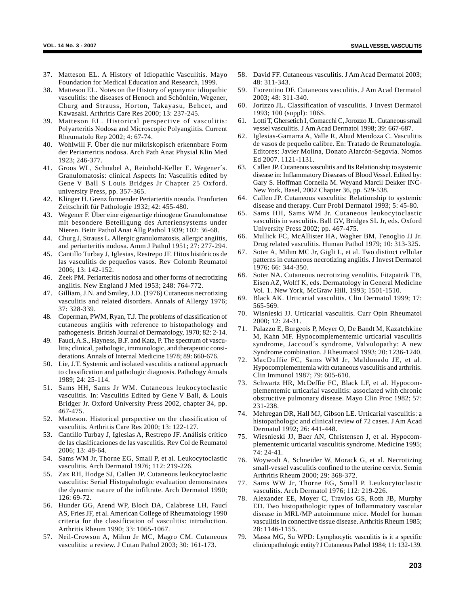- 37. Matteson EL. A History of Idiopathic Vasculitis. Mayo Foundation for Medical Education and Research, 1999.
- 38. Matteson EL. Notes on the History of eponymic idiopathic vasculitis: the diseases of Henoch and Schönlein, Wegener, Churg and Strauss, Horton, Takayasu, Behcet, and Kawasaki. Arthritis Care Res 2000; 13: 237-245.
- 39. Matteson EL. Historical perspective of vasculitis: Polyarteritis Nodosa and Microscopic Polyangiitis. Current Rheumatolo Rep 2002; 4: 67-74.
- 40. Wohlwill F. Über die nur mikriskopisch erkennbare Form der Periarteritis nodosa. Arch Path Anat Physial Klin Med 1923; 246-377.
- 41. Groos WL, Schnabel A, Reinhold-Keller E. Wegener´s. Granulomatosis: clinical Aspects In: Vasculitis edited by Gene V Ball S Louis Bridges Jr Chapter 25 Oxford. university Press, pp. 357-365.
- 42. Klinger H. Grenz formender Periarteritis nosoda. Franfurten Zeitschrift für Pathologie 1932; 42: 455-480.
- 43. Wegener F. Über eine eigenartige rhinogene Granulomatose mit besondere Beteiligung des Arteriensystems under Nieren. Beitr Pathol Anat Allg Pathol 1939; 102: 36-68.
- 44. Churg J, Strauss L. Allergic granulomatosis, allergic angiitis, and periarteritis nodosa. Amm J Pathol 1951; 27: 277-294.
- 45. Cantillo Turbay J, Iglesias, Restrepo JF. Hitos históricos de las vasculitis de pequeños vasos. Rev Colomb Reumatol 2006; 13: 142-152.
- 46. Zeek PM. Periarteritis nodosa and other forms of necrotizing angiitis. New England J Med 1953; 248: 764-772.
- 47. Gilliam, J.N. and Smiley, J.D. (1976) Cutaneous necrotizing vasculitis and related disorders. Annals of Allergy 1976; 37: 328-339.
- 48. Coperman, PWM, Ryan, T.J. The problems of classification of cutaneous angiitis with reference to histopathology and pathogenesis. British Journal of Dermatology, 1970; 82: 2-14.
- 49. Fauci, A.S., Hayness, B.F. and Katz, P. The spectrum of vasculitis; clinical, pathologic, immunologic, and therapeutic considerations. Annals of Internal Medicine 1978; 89: 660-676.
- 50. Lie, J.T. Systemic and isolated vasculitis a rational approach to classification and pathologic diagnosis. Pathology Annals 1989; 24: 25-114.
- 51. Sams HH, Sams Jr WM. Cutaneous leukocytoclastic vasculitis. In: Vasculitis Edited by Gene V Ball, & Louis Bridger Jr. Oxford University Press 2002, chapter 34, pp. 467-475.
- 52. Matteson. Historical perspective on the classification of vasculitis. Arthritis Care Res 2000; 13: 122-127.
- 53. Cantillo Turbay J, Iglesias A, Restrepo JF. Análisis crítico de las clasificaciones de las vasculitis. Rev Col de Reumatol 2006; 13: 48-64.
- 54. Sams WM Jr, Thorne EG, Small P, et al. Leukocytoclastic vasculitis. Arch Dermatol 1976; 112: 219-226.
- 55. Zax RH, Hodge SJ, Callen JP. Cutaneous leukocytoclastic vasculitis: Serial Histopahologic evaluation demonstrates the dynamic nature of the infiltrate. Arch Dermatol 1990; 126: 69-72.
- 56. Hunder GG, Arend WP, Bloch DA, Calabrese LH, Faucí AS, Fries JF, et al. American College of Rheumatology 1990 criteria for the classification of vasculitis: introduction. Arthritis Rheum 1990; 33: 1065-1067.
- 57. Neil-Crowson A, Mihm Jr MC, Magro CM. Cutaneous vasculitis: a review. J Cutan Pathol 2003; 30: 161-173.
- 58. David FF. Cutaneous vasculitis. J Am Acad Dermatol 2003; 48: 311-343.
- 59. Fiorentino DF. Cutaneous vasculitis. J Am Acad Dermatol 2003; 48: 311-340.
- 60. Jorizzo JL. Classification of vasculitis. J Invest Dermatol 1993; 100 (suppl): 106S.
- 61. Lotti T, Ghersetich I, Comacchi C, Jorozzo JL. Cutaneous small vessel vasculitis. J Am Acad Dermatol 1998; 39: 667-687.
- 62. Iglesias-Gamarra A, Valle R, Abud Mendoza C. Vasculitis de vasos de pequeño calibre. En: Tratado de Reumatología. Editores: Javier Molina, Donato Alarcón-Segovia. Nomos Ed 2007. 1121-1131.
- 63. Callen JP. Cutaneous vasculitis and Its Relation ship to systemic disease in: Inflammatory Diseases of Blood Vessel. Edited by: Gary S. Hoffman Cornelia M. Weyand Marcil Dekker INC-New York, Basel, 2002 Chapter 36, pp. 529-538.
- 64. Callen JP. Cutaneous vasculitis: Relationship to systemic disease and therapy. Curr Probl Dermatol 1993; 5: 45-80.
- 65. Sams HH, Sams WM Jr. Cutaneous leukocytoclastic vasculitis in vasculitis. Ball GV, Bridges SL Jr, eds. Oxford University Press 2002; pp. 467-475.
- 66. Mullick FC, McAllister HA, Wagher BM, Fenoglio JJ Jr. Drug related vasculitis. Human Pathol 1979; 10: 313-325.
- 67. Soter A, Mihm MC Jr, Gigli L, et al. Two distinct cellular patterns in cutaneous necrotizing angiitis. J Invest Dermatol 1976; 66: 344-350.
- 68. Soter NA. Cutaneous necrotizing venulitis. Fitzpatrik TB, Eisen AZ, Wolff K, eds. Dermatology in General Medicine Vol. 1. New York, McGraw Hill, 1993; 1501-1510.
- 69. Black AK. Urticarial vasculitis. Clin Dermatol 1999; 17: 565-569.
- 70. Wisnieski JJ. Urticarial vasculitis. Curr Opin Rheumatol 2000; 12: 24-31.
- 71. Palazzo E, Burgeois P, Meyer O, De Bandt M, Kazatchkine M, Kahn MF. Hypocomplementemic urticarial vasculitis syndrome, Jaccoud´s syndrome, Valvulopathy: A new Syndrome combination. J Rheumatol 1993; 20: 1236-1240.
- 72. MacDuffie FC, Sams WM Jr, Maldonado JE, et al. Hypocomplementemia with cutaneous vasculitis and arthritis. Clin Immunol 1987; 79: 605-610.
- 73. Schwartz HR, McDeffie FC, Black LF, et al. Hypocomplementemic urticarial vasculitis: associated with chronic obstructive pulmonary disease. Mayo Clin Proc 1982; 57: 231-238.
- 74. Mehregan DR, Hall MJ, Gibson LE. Urticarial vasculitis: a histopathologic and clinical review of 72 cases. J Am Acad Dermatol 1992; 26: 441-448.
- 75. Wiesnieski JJ, Baer AN, Christensen J, et al. Hypocomplementemic urticarial vasculitis syndrome. Medicine 1995; 74: 24-41.
- 76. Woywodt A, Schneider W, Morack G, et al. Necrotizing small-vessel vasculitis confined to the uterine cervix. Semin Arthritis Rheum 2000; 29: 368-372.
- 77. Sams WW Jr, Thorne EG, Small P. Leukocytoclastic vasculitis. Arch Dermatol 1976; 112: 219-226.
- 78. Alexander EE, Moyer C, Travlos GS, Roth JB, Murphy ED. Two histopathologic types of Inflammatory vascular disease in MRL/MP autoimmune mice. Model for human vasculitis in connective tissue disease. Arthritis Rheum 1985; 28: 1146-1155.
- 79. Massa MG, Su WPD: Lymphocytic vasculitis is it a specific clinicopathologic entity? J Cutaneous Pathol 1984; 11: 132-139.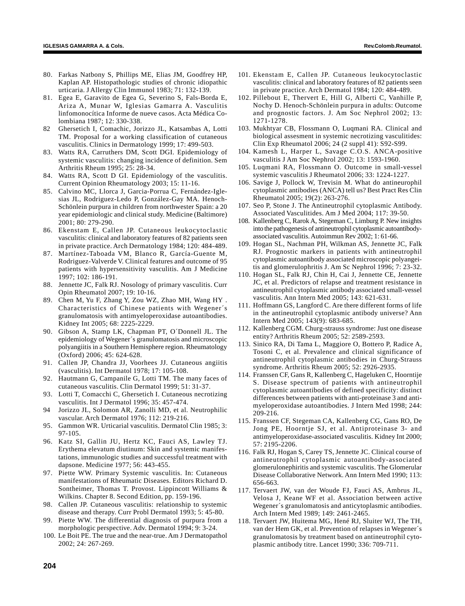- 80. Farkas Natbony S, Phillips ME, Elias JM, Goodfrey HP, Kaplan AP. Histopathologic studies of chronic idiopathic urticaria. J Allergy Clin Immunol 1983; 71: 132-139.
- 81. Egea E, Garavito de Egea G, Severino S, Fals-Borda E, Ariza A, Munar W, Iglesias Gamarra A. Vasculitis linfomonocítica Informe de nueve casos. Acta Médica Colombiana 1987; 12: 330-338.
- 82 Ghersetich I, Comachic, Jorizzo JL, Katsambas A, Lotti TM. Proposal for a working classification of cutaneous vasculitis. Clinics in Dermatology 1999; 17: 499-503.
- 83. Watts RA, Carruthers DM, Scott DGI. Epidemiology of systemic vasculitis: changing incidence of definition. Sem Arthritis Rheum 1995; 25: 28-34.
- 84. Watts RA, Scott D GI. Epidemiology of the vasculitis. Current Opinion Rheumatology 2003; 15: 11-16.
- 85. Calvino MC, Llorca J, Garcia-Porrua C, Fernández-Iglesias JL, Rodriguez-Ledo P, González-Gay MA. Henoch-Schönlein purpura in children from northwester Spain: a 20 year epidemiologic and clinical study. Medicine (Baltimore) 2001; 80: 279-290.
- 86. Ekenstam E, Callen JP. Cutaneous leukocytoclastic vasculitis: clinical and laboratory features of 82 patients seen in private practice. Arch Dermatology 1984; 120: 484-489.
- 87. Martínez-Taboada VM, Blanco R, García-Guente M, Rodriguez-Valverde V. Clinical features and outcome of 95 patients with hypersensitivity vasculitis. Am J Medicine 1997; 102: 186-191.
- 88. Jennette JC, Falk RJ. Nosology of primary vasculitis. Curr Opin Rheumatol 2007; 19: 10-16.
- 89. Chen M, Yu F, Zhang Y, Zou WZ, Zhao MH, Wang HY . Characteristics of Chinese patients with Wegener´s granulomatosis with antimyeloperoxidase autoantibodies. Kidney Int 2005; 68: 2225-2229.
- 90. Gibson A, Stamp LK, Chapman PT, O´Donnell JL. The epidemiology of Wegener´s granulomatosis and microscopic polyangiitis in a Southern Hemisphere region. Rheumatology (Oxford) 2006; 45: 624-628.
- 91. Callen JP, Chandra JJ, Voorhees JJ. Cutaneous angiitis (vasculitis). Int Dermatol 1978; 17: 105-108.
- 92. Hautmann G, Campanile G, Lotti TM. The many faces of cutaneous vasculitis. Clin Dermatol 1999; 51: 31-37.
- 93. Lotti T, Comacchi C, Ghersetich I. Cutaneous necrotizing vasculitis. Int J Dermatol 1996; 35: 457-474.
- 94 Jorizzo JL, Solomon AR, Zanolli MD, et al. Neutrophilic vascular. Arch Dermatol 1976; 112: 219-216.
- 95. Gammon WR. Urticarial vasculitis. Dermatol Clin 1985; 3: 97-105.
- 96. Katz SI, Gallin JU, Hertz KC, Fauci AS, Lawley TJ. Erythema elevatum diutinum: Skin and systemic manifestations, immunologic studies and successful treatment with dapsone. Medicine 1977; 56: 443-455.
- 97. Piette WW. Primary Systemic vasculitis. In: Cutaneous manifestations of Rheumatic Diseases. Editors Richard D. Sontheimer, Thomas T. Provost. Lippincott Williams & Wilkins. Chapter 8. Second Edition, pp. 159-196.
- 98. Callen JP. Cutaneous vasculitis: relationship to systemic disease and therapy. Curr Probl Dermatol 1993; 5: 45-80.
- 99. Piette WW. The differential diagnosis of purpura from a morphologic perspective. Adv. Dermatol 1994; 9: 3-24.
- 100. Le Boit PE. The true and the near-true. Am J Dermatopathol 2002; 24: 267-269.
- 101. Ekenstam E, Callen JP. Cutaneous leukocytoclastic vasculitis: clinical and laboratory features of 82 patients seen in private practice. Arch Dermatol 1984; 120: 484-489.
- 102. Pillebout E, Thervert E, Hill G, Alberti C, Vanhille P, Nochy D. Henoch-Schönlein purpura in adults: Outcome and prognostic factors. J. Am Soc Nephrol 2002; 13: 1271-1278.
- 103. Mukhtyar CB, Flossmann O, Luqmani RA. Clinical and biological assesment in systemic necrotizing vasculitides: Clin Exp Rheumatol 2006; 24 (2 suppl 41): S92-S99.
- 104. Kamesh L, Harper L, Savage C.O.S. ANCA-positive vasculitis J Am Soc Nephrol 2002; 13: 1593-1960.
- 105. Luqmani RA, Flossmann O. Outcome in small-vessel systemic vasculitis J Rheumatol 2006; 33: 1224-1227.
- 106. Savige J, Pollock W, Trevisin M. What do antineurophil cytoplasmic antibodies (ANCA) tell us? Best Pract Res Clin Rheumatol 2005; 19(2): 263-276.
- 107. Seo P, Stone J. The Antineutrophil cytoplasmic Antibody. Associated Vasculitides. Am J Med 2004; 117: 39-50.
- 108. Kallenberg C, Rarok A, Stegeman C, Limburg P. New insights into the pathogenesis of antineutrophil cytoplasmic autoantibodyassociated vasculitis. Autoimmun Rev 2002; 1: 61-66.
- 109. Hogan SL, Nachman PH, Wilkman AS, Jennette JC, Falk RJ. Prognostic markers in patients with antineutrophil cytoplasmic autoantibody associated microscopic polyangeitis and glomerulophritis J. Am Sc Nephrol 1996; 7: 23-32.
- 110. Hogan SL, Falk RJ, Chin H, Cai J, Jennette CE, Jennette JC, et al. Predictors of relapse and treatment resistance in antineutrophil cytoplasmic antibody associated small-vessel vasculitis. Ann Intern Med 2005; 143: 621-631.
- 111. Hoffmann GS, Langford C. Are there different forms of life in the antineutrophil cytoplasmic antibody universe? Ann Intern Med 2005; 143(9): 683-685.
- 112. Kallenberg CGM. Churg-strauss syndrome: Just one disease entity? Arthritis Rheum 2005; 52: 2589-2593.
- 113. Sinico RA, Di Tama L, Maggiore O, Bottero P, Radice A, Tosoni C, et al. Prevalence and clinical significance of antineutrophil cytoplasmic antibodies in Churg-Strauss syndrome. Arthritis Rheum 2005; 52: 2926-2935.
- 114. Franssen CF, Gans R, Kallenberg C, Hageluken C, Hoorntije S. Disease spectrum of patients with antineutrophil cytoplasmic autoantibodies of defined specificity: distinct differences between patients with anti-proteinase 3 and antimyeloperoxidase autoantibodies. J Intern Med 1998; 244: 209-216.
- 115. Franssen CF, Stegeman CA, Kallenberg CG, Gans RO, De Jong PE, Hoorntje SJ, et al. Antiproteinase 3- and antimyeloperoxidase-associated vasculitis. Kidney Int 2000; 57: 2195-2206.
- 116. Falk RJ, Hogan S, Carey TS, Jennette JC. Clinical course of antineutrophil cytoplasmic autoantibody-associated glomerulonephiritis and systemic vasculitis. The Glomerular Disease Collaborative Network. Ann Intern Med 1990; 113: 656-663.
- 117. Tervaert JW, van der Woude FJ, Fauci AS, Ambrus JL, Velosa J, Keane WF et al. Association between active Wegener´s granulomatosis and anticytoplasmic antibodies. Arch Intern Med 1989; 149: 2461-2465.
- 118. Tervaert JW, Huitema MG, Hené RJ, Sluiter WJ, The TH, van der Hem GK, et al. Prevention of relapses in Wegener´s granulomatosis by treatment based on antineutrophil cytoplasmic antibody titre. Lancet 1990; 336: 709-711.